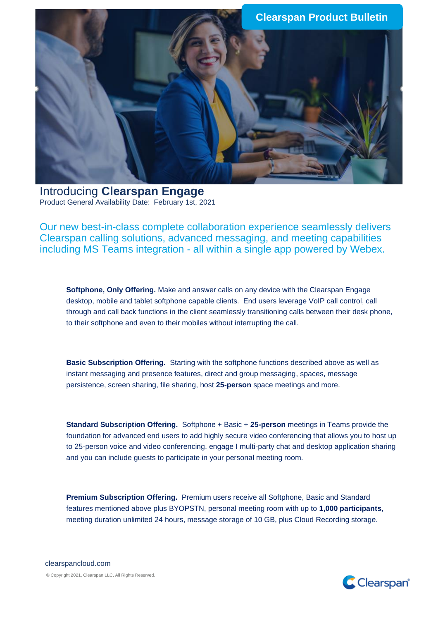

Introducing **Clearspan Engage** Product General Availability Date: February 1st, 2021

Our new best-in-class complete collaboration experience seamlessly delivers Clearspan calling solutions, advanced messaging, and meeting capabilities including MS Teams integration - all within a single app powered by Webex.

**Softphone, Only Offering.** Make and answer calls on any device with the Clearspan Engage desktop, mobile and tablet softphone capable clients. End users leverage VoIP call control, call through and call back functions in the client seamlessly transitioning calls between their desk phone, to their softphone and even to their mobiles without interrupting the call.

**Basic Subscription Offering.** Starting with the softphone functions described above as well as instant messaging and presence features, direct and group messaging, spaces, message persistence, screen sharing, file sharing, host **25-person** space meetings and more.

**Standard Subscription Offering.** Softphone + Basic + **25-person** meetings in Teams provide the foundation for advanced end users to add highly secure video conferencing that allows you to host up to 25-person voice and video conferencing, engage I multi-party chat and desktop application sharing and you can include guests to participate in your personal meeting room.

**Premium Subscription Offering.** Premium users receive all Softphone, Basic and Standard features mentioned above plus BYOPSTN, personal meeting room with up to **1,000 participants**, meeting duration unlimited 24 hours, message storage of 10 GB, plus Cloud Recording storage.

clearspancloud.com

© Copyright 2021, Clearspan LLC. All Rights Reserved.